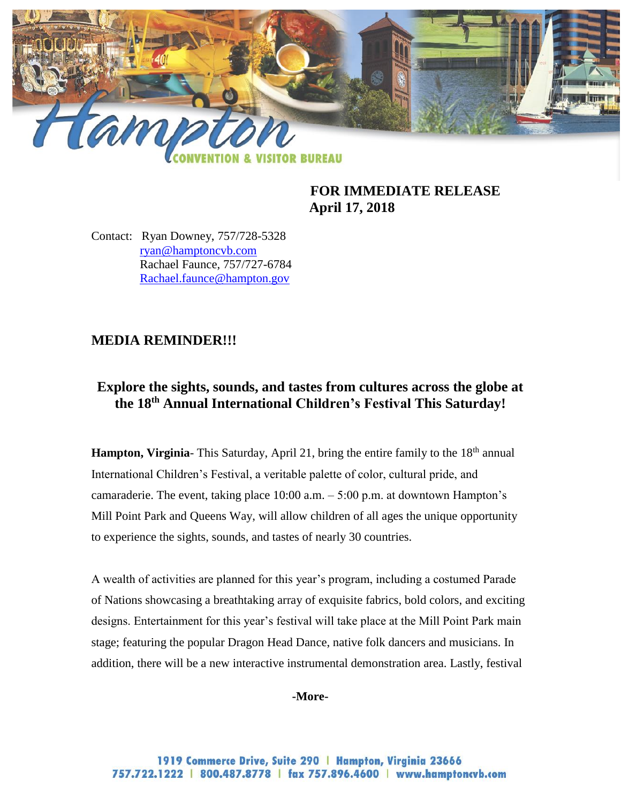

## **FOR IMMEDIATE RELEASE April 17, 2018**

Contact: Ryan Downey, 757/728-5328 [ryan@hamptoncvb.com](mailto:ryan@hamptoncvb.com) Rachael Faunce, 757/727-6784 [Rachael.faunce@hampton.gov](mailto:Rachael.faunce@hampton.gov)

## **MEDIA REMINDER!!!**

## **Explore the sights, sounds, and tastes from cultures across the globe at the 18th Annual International Children's Festival This Saturday!**

Hampton, Virginia- This Saturday, April 21, bring the entire family to the 18<sup>th</sup> annual International Children's Festival, a veritable palette of color, cultural pride, and camaraderie. The event, taking place  $10:00$  a.m.  $-5:00$  p.m. at downtown Hampton's Mill Point Park and Queens Way, will allow children of all ages the unique opportunity to experience the sights, sounds, and tastes of nearly 30 countries.

A wealth of activities are planned for this year's program, including a costumed Parade of Nations showcasing a breathtaking array of exquisite fabrics, bold colors, and exciting designs. Entertainment for this year's festival will take place at the Mill Point Park main stage; featuring the popular Dragon Head Dance, native folk dancers and musicians. In addition, there will be a new interactive instrumental demonstration area. Lastly, festival

**-More-**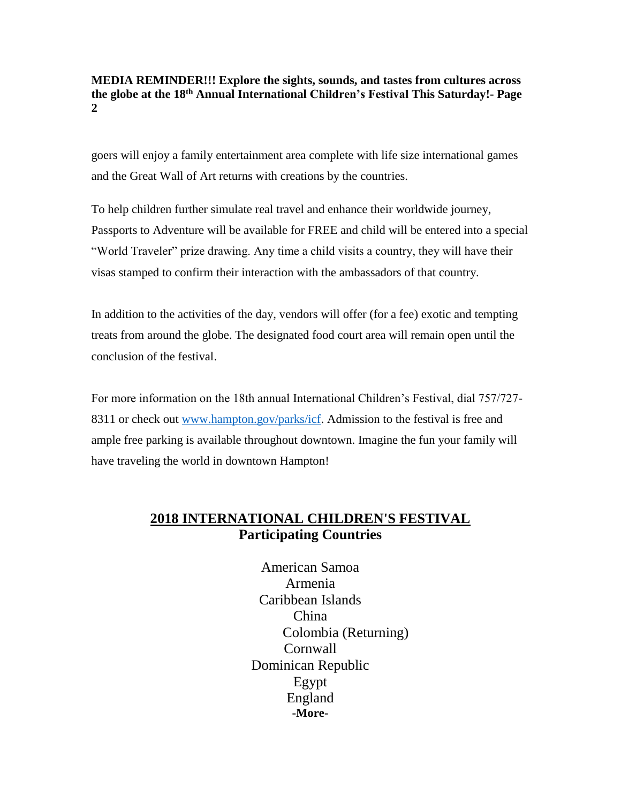**MEDIA REMINDER!!! Explore the sights, sounds, and tastes from cultures across the globe at the 18th Annual International Children's Festival This Saturday!- Page 2**

goers will enjoy a family entertainment area complete with life size international games and the Great Wall of Art returns with creations by the countries.

To help children further simulate real travel and enhance their worldwide journey, Passports to Adventure will be available for FREE and child will be entered into a special "World Traveler" prize drawing. Any time a child visits a country, they will have their visas stamped to confirm their interaction with the ambassadors of that country.

In addition to the activities of the day, vendors will offer (for a fee) exotic and tempting treats from around the globe. The designated food court area will remain open until the conclusion of the festival.

For more information on the 18th annual International Children's Festival, dial 757/727- 8311 or check out [www.hampton.gov/parks/icf.](http://www.hampton.gov/parks/icf) Admission to the festival is free and ample free parking is available throughout downtown. Imagine the fun your family will have traveling the world in downtown Hampton!

## **2018 INTERNATIONAL CHILDREN'S FESTIVAL Participating Countries**

American Samoa Armenia Caribbean Islands China Colombia (Returning) Cornwall Dominican Republic Egypt England **-More-**